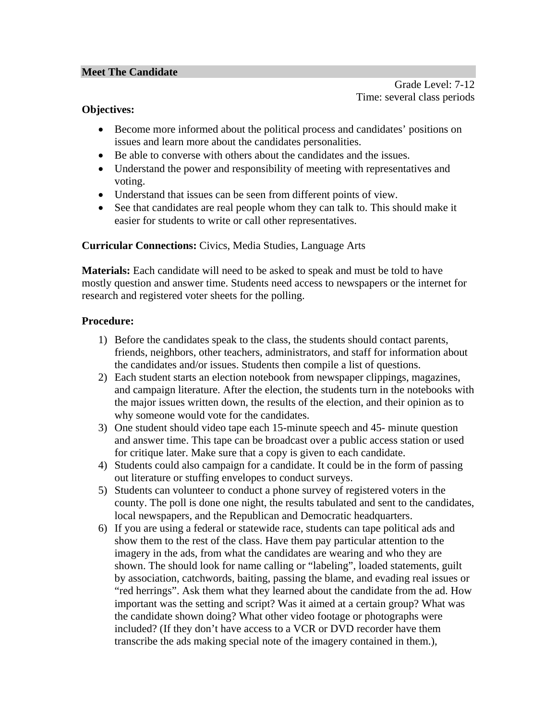#### **Meet The Candidate**

Grade Level: 7-12 Time: several class periods

# **Objectives:**

- Become more informed about the political process and candidates' positions on issues and learn more about the candidates personalities.
- Be able to converse with others about the candidates and the issues.
- Understand the power and responsibility of meeting with representatives and voting.
- Understand that issues can be seen from different points of view.
- See that candidates are real people whom they can talk to. This should make it easier for students to write or call other representatives.

### **Curricular Connections:** Civics, Media Studies, Language Arts

**Materials:** Each candidate will need to be asked to speak and must be told to have mostly question and answer time. Students need access to newspapers or the internet for research and registered voter sheets for the polling.

### **Procedure:**

- 1) Before the candidates speak to the class, the students should contact parents, friends, neighbors, other teachers, administrators, and staff for information about the candidates and/or issues. Students then compile a list of questions.
- 2) Each student starts an election notebook from newspaper clippings, magazines, and campaign literature. After the election, the students turn in the notebooks with the major issues written down, the results of the election, and their opinion as to why someone would vote for the candidates.
- 3) One student should video tape each 15-minute speech and 45- minute question and answer time. This tape can be broadcast over a public access station or used for critique later. Make sure that a copy is given to each candidate.
- 4) Students could also campaign for a candidate. It could be in the form of passing out literature or stuffing envelopes to conduct surveys.
- 5) Students can volunteer to conduct a phone survey of registered voters in the county. The poll is done one night, the results tabulated and sent to the candidates, local newspapers, and the Republican and Democratic headquarters.
- 6) If you are using a federal or statewide race, students can tape political ads and show them to the rest of the class. Have them pay particular attention to the imagery in the ads, from what the candidates are wearing and who they are shown. The should look for name calling or "labeling", loaded statements, guilt by association, catchwords, baiting, passing the blame, and evading real issues or "red herrings". Ask them what they learned about the candidate from the ad. How important was the setting and script? Was it aimed at a certain group? What was the candidate shown doing? What other video footage or photographs were included? (If they don't have access to a VCR or DVD recorder have them transcribe the ads making special note of the imagery contained in them.),